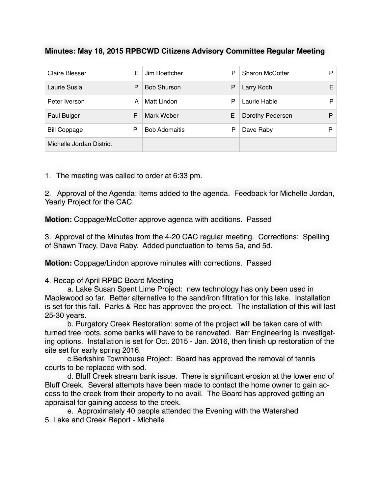## **Minutes: May 18, 2015 RPBCWD Citizens Advisory Committee Regular Meeting**

| <b>Claire Blesser</b>    | E | Jim Boettcher        | P | <b>Sharon McCotter</b> | P |
|--------------------------|---|----------------------|---|------------------------|---|
| Laurie Susla             | P | <b>Bob Shurson</b>   | P | Larry Koch             | Е |
| Peter Iverson            | А | Matt Lindon          | P | Laurie Hable           | Þ |
| Paul Bulger              | P | Mark Weber           | Е | Dorothy Pedersen       | P |
| <b>Bill Coppage</b>      | Ρ | <b>Bob Adomaitis</b> | Р | Dave Raby              | Þ |
| Michelle Jordan District |   |                      |   |                        |   |

1. The meeting was called to order at 6:33 pm.

2. Approval of the Agenda: Items added to the agenda. Feedback for Michelle Jordan, Yearly Project for the CAC.

**Motion:** Coppage/McCotter approve agenda with additions. Passed

3. Approval of the Minutes from the 4-20 CAC regular meeting. Corrections: Spelling of Shawn Tracy, Dave Raby. Added punctuation to items 5a, and 5d.

**Motion:** Coppage/Lindon approve minutes with corrections. Passed

## 4. Recap of April RPBC Board Meeting

a. Lake Susan Spent Lime Project: new technology has only been used in Maplewood so far. Better alternative to the sand/iron filtration for this lake. Installation is set for this fall. Parks & Rec has approved the project. The installation of this will last 25-30 years.

b. Purgatory Creek Restoration: some of the project will be taken care of with turned tree roots, some banks will have to be renovated. Barr Engineering is investigating options. Installation is set for Oct. 2015 - Jan. 2016, then finish up restoration of the site set for early spring 2016.

c.Berkshire Townhouse Project: Board has approved the removal of tennis courts to be replaced with sod.

d. Bluff Creek stream bank issue. There is significant erosion at the lower end of Bluff Creek. Several attempts have been made to contact the home owner to gain access to the creek from their property to no avail. The Board has approved getting an appraisal for gaining access to the creek.

e. Approximately 40 people attended the Evening with the Watershed 5. Lake and Creek Report - Michelle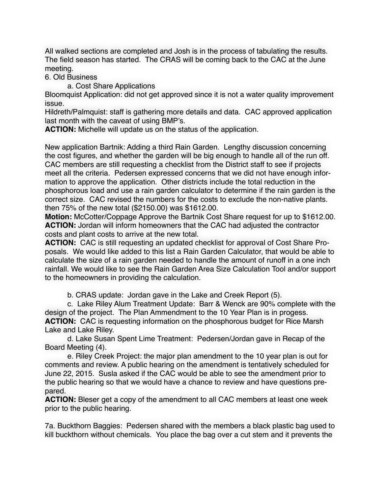All walked sections are completed and Josh is in the process of tabulating the results. The field season has started. The CRAS will be coming back to the CAC at the June meeting.

6. Old Business

a. Cost Share Applications

Bloomquist Application: did not get approved since it is not a water quality improvement issue.

Hildreth/Palmquist: staff is gathering more details and data. CAC approved application last month with the caveat of using BMP's.

**ACTION:** Michelle will update us on the status of the application.

New application Bartnik: Adding a third Rain Garden. Lengthy discussion concerning the cost figures, and whether the garden will be big enough to handle all of the run off. CAC members are still requesting a checklist from the District staff to see if projects meet all the criteria. Pedersen expressed concerns that we did not have enough information to approve the application. Other districts include the total reduction in the phosphorous load and use a rain garden calculator to determine if the rain garden is the correct size. CAC revised the numbers for the costs to exclude the non-native plants. then 75% of the new total (\$2150.00) was \$1612.00.

**Motion:** McCotter/Coppage Approve the Bartnik Cost Share request for up to \$1612.00. **ACTION:** Jordan will inform homeowners that the CAC had adjusted the contractor costs and plant costs to arrive at the new total.

**ACTION:** CAC is still requesting an updated checklist for approval of Cost Share Proposals. We would like added to this list a Rain Garden Calculator, that would be able to calculate the size of a rain garden needed to handle the amount of runoff in a one inch rainfall. We would like to see the Rain Garden Area Size Calculation Tool and/or support to the homeowners in providing the calculation.

b. CRAS update: Jordan gave in the Lake and Creek Report (5).

c. Lake Riley Alum Treatment Update: Barr & Wenck are 90% complete with the design of the project. The Plan Ammendment to the 10 Year Plan is in progess. **ACTION:** CAC is requesting information on the phosphorous budget for Rice Marsh Lake and Lake Riley.

d. Lake Susan Spent Lime Treatment: Pedersen/Jordan gave in Recap of the Board Meeting (4).

e. Riley Creek Project: the major plan amendment to the 10 year plan is out for comments and review. A public hearing on the amendment is tentatively scheduled for June 22, 2015. Susla asked if the CAC would be able to see the amendment prior to the public hearing so that we would have a chance to review and have questions prepared.

**ACTION:** Bleser get a copy of the amendment to all CAC members at least one week prior to the public hearing.

7a. Buckthorn Baggies: Pedersen shared with the members a black plastic bag used to kill buckthorn without chemicals. You place the bag over a cut stem and it prevents the